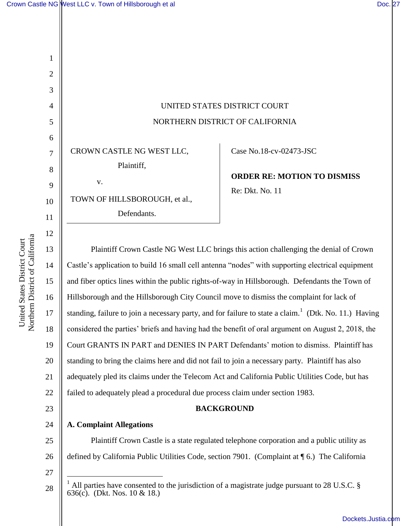2

3

4

5

6

7

8

9

10

11

12

13

14

15

17

18

19

20

21

23

24

25

26

|                                                            | UNITED STATES DISTRICT COURT<br>NORTHERN DISTRICT OF CALIFORNIA |
|------------------------------------------------------------|-----------------------------------------------------------------|
| CROWN CASTLE NG WEST LLC,                                  | Case No.18-cv-02473-JSC                                         |
| Plaintiff,<br>$V_{\star}$<br>TOWN OF HILLSBOROUGH, et al., | <b>ORDER RE: MOTION TO DISMISS</b><br>Re: Dkt. No. 11           |

Defendants.

16 22 Plaintiff Crown Castle NG West LLC brings this action challenging the denial of Crown Castle's application to build 16 small cell antenna "nodes" with supporting electrical equipment and fiber optics lines within the public rights-of-way in Hillsborough. Defendants the Town of Hillsborough and the Hillsborough City Council move to dismiss the complaint for lack of standing, failure to join a necessary party, and for failure to state a claim.<sup>1</sup> (Dtk. No. 11.) Having considered the parties' briefs and having had the benefit of oral argument on August 2, 2018, the Court GRANTS IN PART and DENIES IN PART Defendants' motion to dismiss. Plaintiff has standing to bring the claims here and did not fail to join a necessary party. Plaintiff has also adequately pled its claims under the Telecom Act and California Public Utilities Code, but has failed to adequately plead a procedural due process claim under section 1983.

### **BACKGROUND**

**A. Complaint Allegations** 

Plaintiff Crown Castle is a state regulated telephone corporation and a public utility as defined by California Public Utilities Code, section 7901. (Complaint at ¶ 6.) The California

27

 $\overline{a}$ 

<sup>1</sup> All parties have consented to the jurisdiction of a magistrate judge pursuant to 28 U.S.C. § 636(c). (Dkt. Nos. 10 & 18.)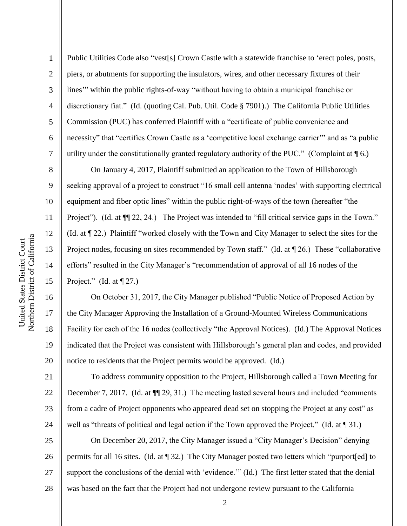2

3

4

5

6

7

8

9

10

11

12

13

14

15

16

17

18

19

20

21

22

23

24

Public Utilities Code also "vest[s] Crown Castle with a statewide franchise to 'erect poles, posts, piers, or abutments for supporting the insulators, wires, and other necessary fixtures of their lines'" within the public rights-of-way "without having to obtain a municipal franchise or discretionary fiat." (Id. (quoting Cal. Pub. Util. Code § 7901).) The California Public Utilities Commission (PUC) has conferred Plaintiff with a "certificate of public convenience and necessity" that "certifies Crown Castle as a 'competitive local exchange carrier'" and as "a public utility under the constitutionally granted regulatory authority of the PUC." (Complaint at ¶ 6.)

On January 4, 2017, Plaintiff submitted an application to the Town of Hillsborough seeking approval of a project to construct "16 small cell antenna 'nodes' with supporting electrical equipment and fiber optic lines" within the public right-of-ways of the town (hereafter "the Project"). (Id. at  $\P$ [22, 24.) The Project was intended to "fill critical service gaps in the Town." (Id. at ¶ 22.) Plaintiff "worked closely with the Town and City Manager to select the sites for the Project nodes, focusing on sites recommended by Town staff." (Id. at  $\P$  26.) These "collaborative efforts" resulted in the City Manager's "recommendation of approval of all 16 nodes of the Project." (Id. at  $\P$  27.)

On October 31, 2017, the City Manager published "Public Notice of Proposed Action by the City Manager Approving the Installation of a Ground-Mounted Wireless Communications Facility for each of the 16 nodes (collectively "the Approval Notices). (Id.) The Approval Notices indicated that the Project was consistent with Hillsborough's general plan and codes, and provided notice to residents that the Project permits would be approved. (Id.)

To address community opposition to the Project, Hillsborough called a Town Meeting for December 7, 2017. (Id. at  $\P$  29, 31.) The meeting lasted several hours and included "comments from a cadre of Project opponents who appeared dead set on stopping the Project at any cost" as well as "threats of political and legal action if the Town approved the Project." (Id. at ¶ 31.)

25 26 27 28 On December 20, 2017, the City Manager issued a "City Manager's Decision" denying permits for all 16 sites. (Id. at ¶ 32.) The City Manager posted two letters which "purport[ed] to support the conclusions of the denial with 'evidence.'" (Id.) The first letter stated that the denial was based on the fact that the Project had not undergone review pursuant to the California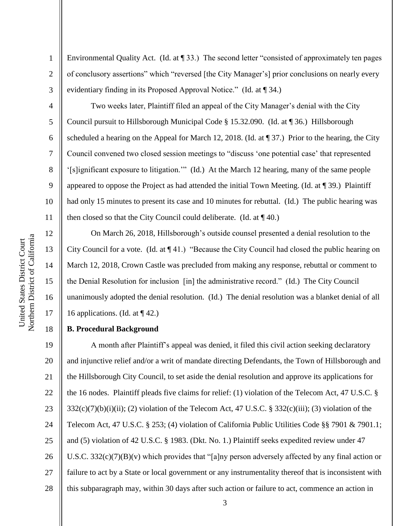2

3

4

5

6

7

8

9

10

11

12

13

14

15

16

17

18

Environmental Quality Act. (Id. at ¶ 33.) The second letter "consisted of approximately ten pages of conclusory assertions" which "reversed [the City Manager's] prior conclusions on nearly every evidentiary finding in its Proposed Approval Notice." (Id. at ¶ 34.)

Two weeks later, Plaintiff filed an appeal of the City Manager's denial with the City Council pursuit to Hillsborough Municipal Code § 15.32.090. (Id. at ¶ 36.) Hillsborough scheduled a hearing on the Appeal for March 12, 2018. (Id. at ¶ 37.) Prior to the hearing, the City Council convened two closed session meetings to "discuss 'one potential case' that represented '[s]ignificant exposure to litigation.'" (Id.) At the March 12 hearing, many of the same people appeared to oppose the Project as had attended the initial Town Meeting. (Id. at ¶ 39.) Plaintiff had only 15 minutes to present its case and 10 minutes for rebuttal. (Id.) The public hearing was then closed so that the City Council could deliberate. (Id. at  $\P$  40.)

On March 26, 2018, Hillsborough's outside counsel presented a denial resolution to the City Council for a vote. (Id. at ¶ 41.) "Because the City Council had closed the public hearing on March 12, 2018, Crown Castle was precluded from making any response, rebuttal or comment to the Denial Resolution for inclusion [in] the administrative record." (Id.) The City Council unanimously adopted the denial resolution. (Id.) The denial resolution was a blanket denial of all 16 applications. (Id. at  $\P$  42.)

# **B. Procedural Background**

19 20 21 22 23 24 25 26 27 28 A month after Plaintiff's appeal was denied, it filed this civil action seeking declaratory and injunctive relief and/or a writ of mandate directing Defendants, the Town of Hillsborough and the Hillsborough City Council, to set aside the denial resolution and approve its applications for the 16 nodes. Plaintiff pleads five claims for relief: (1) violation of the Telecom Act, 47 U.S.C. §  $332(c)(7)(b)(i)(ii)$ ; (2) violation of the Telecom Act, 47 U.S.C. § 332(c)(iii); (3) violation of the Telecom Act, 47 U.S.C. § 253; (4) violation of California Public Utilities Code §§ 7901 & 7901.1; and (5) violation of 42 U.S.C. § 1983. (Dkt. No. 1.) Plaintiff seeks expedited review under 47 U.S.C. 332(c)(7)(B)(v) which provides that "[a]ny person adversely affected by any final action or failure to act by a State or local government or any instrumentality thereof that is inconsistent with this subparagraph may, within 30 days after such action or failure to act, commence an action in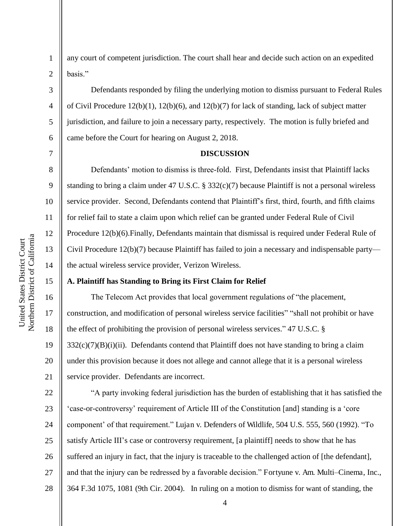Northern District of California Northern District of California United States District Court United States District Court

3

4

5

6

7

8

9

10

11

12

13

14

15

1 2 any court of competent jurisdiction. The court shall hear and decide such action on an expedited basis."

Defendants responded by filing the underlying motion to dismiss pursuant to Federal Rules of Civil Procedure 12(b)(1), 12(b)(6), and 12(b)(7) for lack of standing, lack of subject matter jurisdiction, and failure to join a necessary party, respectively. The motion is fully briefed and came before the Court for hearing on August 2, 2018.

### **DISCUSSION**

Defendants' motion to dismiss is three-fold. First, Defendants insist that Plaintiff lacks standing to bring a claim under 47 U.S.C. § 332(c)(7) because Plaintiff is not a personal wireless service provider. Second, Defendants contend that Plaintiff's first, third, fourth, and fifth claims for relief fail to state a claim upon which relief can be granted under Federal Rule of Civil Procedure 12(b)(6).Finally, Defendants maintain that dismissal is required under Federal Rule of Civil Procedure 12(b)(7) because Plaintiff has failed to join a necessary and indispensable party the actual wireless service provider, Verizon Wireless.

### **A. Plaintiff has Standing to Bring its First Claim for Relief**

16 17 18 19 20 21 The Telecom Act provides that local government regulations of "the placement, construction, and modification of personal wireless service facilities" "shall not prohibit or have the effect of prohibiting the provision of personal wireless services." 47 U.S.C. §  $332(c)(7)(B)(i)(ii)$ . Defendants contend that Plaintiff does not have standing to bring a claim under this provision because it does not allege and cannot allege that it is a personal wireless service provider. Defendants are incorrect.

22 23 24 25 26 27 28 "A party invoking federal jurisdiction has the burden of establishing that it has satisfied the 'case-or-controversy' requirement of Article III of the Constitution [and] standing is a 'core component' of that requirement." Lujan v. Defenders of Wildlife, 504 U.S. 555, 560 (1992). "To satisfy Article III's case or controversy requirement, [a plaintiff] needs to show that he has suffered an injury in fact, that the injury is traceable to the challenged action of [the defendant], and that the injury can be redressed by a favorable decision." Fortyune v. Am. Multi*–*Cinema, Inc., 364 F.3d 1075, 1081 (9th Cir. 2004). In ruling on a motion to dismiss for want of standing, the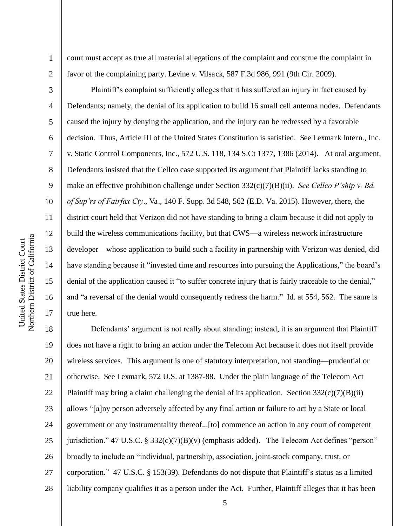2

3

4

5

6

7

8

9

10

11

12

13

14

15

16

17

court must accept as true all material allegations of the complaint and construe the complaint in favor of the complaining party. Levine v. Vilsack, 587 F.3d 986, 991 (9th Cir. 2009).

Plaintiff's complaint sufficiently alleges that it has suffered an injury in fact caused by Defendants; namely, the denial of its application to build 16 small cell antenna nodes. Defendants caused the injury by denying the application, and the injury can be redressed by a favorable decision. Thus, Article III of the United States Constitution is satisfied. See Lexmark Intern., Inc. v. Static Control Components, Inc., 572 U.S. 118, 134 S.Ct 1377, 1386 (2014). At oral argument, Defendants insisted that the Cellco case supported its argument that Plaintiff lacks standing to make an effective prohibition challenge under Section 332(c)(7)(B)(ii). *See Cellco P'ship v. Bd. of Sup'rs of Fairfax Cty*., Va., 140 F. Supp. 3d 548, 562 (E.D. Va. 2015). However, there, the district court held that Verizon did not have standing to bring a claim because it did not apply to build the wireless communications facility, but that CWS—a wireless network infrastructure developer—whose application to build such a facility in partnership with Verizon was denied, did have standing because it "invested time and resources into pursuing the Applications," the board's denial of the application caused it "to suffer concrete injury that is fairly traceable to the denial," and "a reversal of the denial would consequently redress the harm." Id. at 554, 562. The same is true here.

18 19 20 21 22 23 24 25 26 27 28 Defendants' argument is not really about standing; instead, it is an argument that Plaintiff does not have a right to bring an action under the Telecom Act because it does not itself provide wireless services. This argument is one of statutory interpretation, not standing—prudential or otherwise. See Lexmark, 572 U.S. at 1387-88. Under the plain language of the Telecom Act Plaintiff may bring a claim challenging the denial of its application. Section  $332(c)(7)(B)(ii)$ allows "[a]ny person adversely affected by any final action or failure to act by a State or local government or any instrumentality thereof...[to] commence an action in any court of competent jurisdiction." 47 U.S.C. § 332(c)(7)(B)(v) (emphasis added). The Telecom Act defines "person" broadly to include an "individual, partnership, association, joint-stock company, trust, or corporation." 47 U.S.C. § 153(39). Defendants do not dispute that Plaintiff's status as a limited liability company qualifies it as a person under the Act. Further, Plaintiff alleges that it has been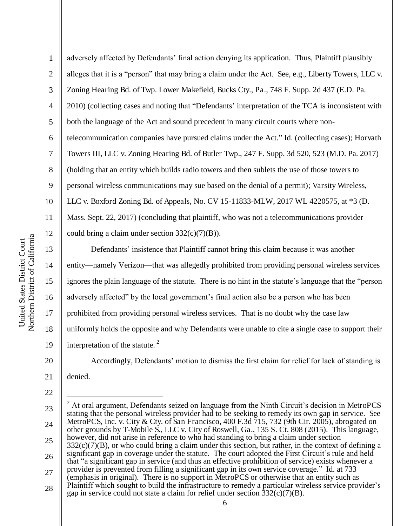1 2 3 4 5 6 7 8 9 10 11 12 13 adversely affected by Defendants' final action denying its application. Thus, Plaintiff plausibly alleges that it is a "person" that may bring a claim under the Act. See, e.g., Liberty Towers, LLC v. Zoning Hearing Bd. of Twp. Lower Makefield, Bucks Cty., Pa., 748 F. Supp. 2d 437 (E.D. Pa. 2010) (collecting cases and noting that "Defendants' interpretation of the TCA is inconsistent with both the language of the Act and sound precedent in many circuit courts where nontelecommunication companies have pursued claims under the Act." Id. (collecting cases); Horvath Towers III, LLC v. Zoning Hearing Bd. of Butler Twp., 247 F. Supp. 3d 520, 523 (M.D. Pa. 2017) (holding that an entity which builds radio towers and then sublets the use of those towers to personal wireless communications may sue based on the denial of a permit); Varsity Wireless, LLC v. Boxford Zoning Bd. of Appeals, No. CV 15-11833-MLW, 2017 WL 4220575, at \*3 (D. Mass. Sept. 22, 2017) (concluding that plaintiff, who was not a telecommunications provider could bring a claim under section  $332(c)(7)(B)$ ).

14 15 16 17 18 19 Defendants' insistence that Plaintiff cannot bring this claim because it was another entity—namely Verizon—that was allegedly prohibited from providing personal wireless services ignores the plain language of the statute. There is no hint in the statute's language that the "person adversely affected" by the local government's final action also be a person who has been prohibited from providing personal wireless services. That is no doubt why the case law uniformly holds the opposite and why Defendants were unable to cite a single case to support their interpretation of the statute. $2$ 

Accordingly, Defendants' motion to dismiss the first claim for relief for lack of standing is

21 denied.

<sup>22</sup>  23 24 25 26 27 28  $\overline{a}$ <sup>2</sup> At oral argument, Defendants seized on language from the Ninth Circuit's decision in MetroPCS stating that the personal wireless provider had to be seeking to remedy its own gap in service. See MetroPCS, Inc. v. City & Cty. of San Francisco, 400 F.3d 715, 732 (9th Cir. 2005), abrogated on other grounds by T-Mobile S., LLC v. City of Roswell, Ga., 135 S. Ct. 808 (2015). This language, however, did not arise in reference to who had standing to bring a claim under section  $332(c)(7)(B)$ , or who could bring a claim under this section, but rather, in the context of defining a significant gap in coverage under the statute. The court adopted the First Circuit's rule and held that "a significant gap in service (and thus an effective prohibition of service) exists whenever a provider is prevented from filling a significant gap in its own service coverage." Id. at 733 (emphasis in original). There is no support in MetroPCS or otherwise that an entity such as Plaintiff which sought to build the infrastructure to remedy a particular wireless service provider's gap in service could not state a claim for relief under section  $332(c)(7)(B)$ .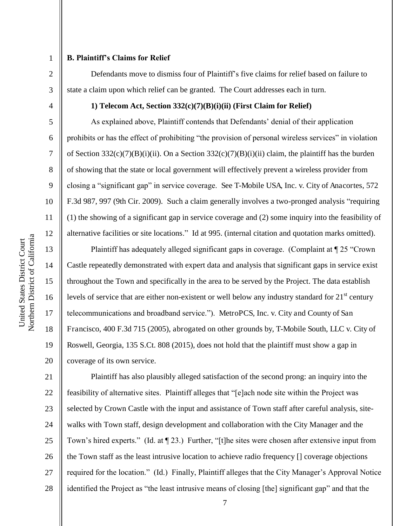2

3

4

5

6

7

8

9

10

11

12

13

14

15

16

17

18

19

20

### **B. Plaintiff's Claims for Relief**

Defendants move to dismiss four of Plaintiff's five claims for relief based on failure to state a claim upon which relief can be granted. The Court addresses each in turn.

### **1) Telecom Act, Section 332(c)(7)(B)(i)(ii) (First Claim for Relief)**

As explained above, Plaintiff contends that Defendants' denial of their application prohibits or has the effect of prohibiting "the provision of personal wireless services" in violation of Section 332(c)(7)(B)(i)(ii). On a Section 332(c)(7)(B)(i)(ii) claim, the plaintiff has the burden of showing that the state or local government will effectively prevent a wireless provider from closing a "significant gap" in service coverage. See T-Mobile USA, Inc. v. City of Anacortes, 572 F.3d 987, 997 (9th Cir. 2009). Such a claim generally involves a two-pronged analysis "requiring (1) the showing of a significant gap in service coverage and (2) some inquiry into the feasibility of alternative facilities or site locations." Id at 995. (internal citation and quotation marks omitted).

Plaintiff has adequately alleged significant gaps in coverage. (Complaint at ¶ 25 "Crown Castle repeatedly demonstrated with expert data and analysis that significant gaps in service exist throughout the Town and specifically in the area to be served by the Project. The data establish levels of service that are either non-existent or well below any industry standard for  $21<sup>st</sup>$  century telecommunications and broadband service."). MetroPCS, Inc. v. City and County of San Francisco, 400 F.3d 715 (2005), abrogated on other grounds by, T-Mobile South, LLC v. City of Roswell, Georgia, 135 S.Ct. 808 (2015), does not hold that the plaintiff must show a gap in coverage of its own service.

21 22 23 24 25 26 27 28 Plaintiff has also plausibly alleged satisfaction of the second prong: an inquiry into the feasibility of alternative sites. Plaintiff alleges that "[e]ach node site within the Project was selected by Crown Castle with the input and assistance of Town staff after careful analysis, sitewalks with Town staff, design development and collaboration with the City Manager and the Town's hired experts." (Id. at ¶ 23.) Further, "[t]he sites were chosen after extensive input from the Town staff as the least intrusive location to achieve radio frequency [] coverage objections required for the location." (Id.) Finally, Plaintiff alleges that the City Manager's Approval Notice identified the Project as "the least intrusive means of closing [the] significant gap" and that the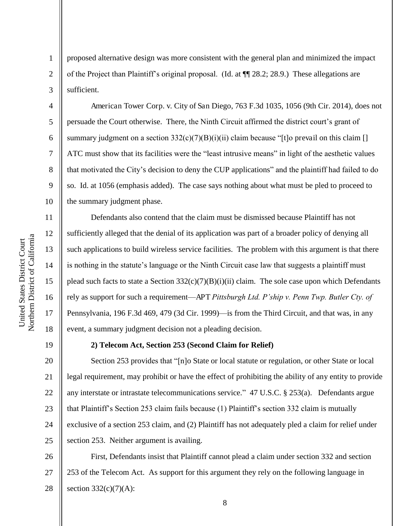Northern District of California Northern District of California United States District Court United States District Court

proposed alternative design was more consistent with the general plan and minimized the impact of the Project than Plaintiff's original proposal. (Id. at ¶¶ 28.2; 28.9.) These allegations are sufficient.

American Tower Corp. v. City of San Diego, 763 F.3d 1035, 1056 (9th Cir. 2014), does not persuade the Court otherwise. There, the Ninth Circuit affirmed the district court's grant of summary judgment on a section  $332(c)(7)(B)(i)(ii)$  claim because "[t]o prevail on this claim [] ATC must show that its facilities were the "least intrusive means" in light of the aesthetic values that motivated the City's decision to deny the CUP applications" and the plaintiff had failed to do so. Id. at 1056 (emphasis added). The case says nothing about what must be pled to proceed to the summary judgment phase.

Defendants also contend that the claim must be dismissed because Plaintiff has not sufficiently alleged that the denial of its application was part of a broader policy of denying all such applications to build wireless service facilities. The problem with this argument is that there is nothing in the statute's language or the Ninth Circuit case law that suggests a plaintiff must plead such facts to state a Section  $332(c)(7)(B)(i)(ii)$  claim. The sole case upon which Defendants rely as support for such a requirement—APT *Pittsburgh Ltd. P'ship v. Penn Twp. Butler Cty. of*  Pennsylvania, 196 F.3d 469, 479 (3d Cir. 1999)—is from the Third Circuit, and that was, in any event, a summary judgment decision not a pleading decision.

19

1

2

3

4

5

6

7

8

9

10

11

12

13

14

15

16

17

18

# **2) Telecom Act, Section 253 (Second Claim for Relief)**

20 21 22 23 24 25 Section 253 provides that "[n]o State or local statute or regulation, or other State or local legal requirement, may prohibit or have the effect of prohibiting the ability of any entity to provide any interstate or intrastate telecommunications service." 47 U.S.C. § 253(a). Defendants argue that Plaintiff's Section 253 claim fails because (1) Plaintiff's section 332 claim is mutually exclusive of a section 253 claim, and (2) Plaintiff has not adequately pled a claim for relief under section 253. Neither argument is availing.

26 27 28 First, Defendants insist that Plaintiff cannot plead a claim under section 332 and section 253 of the Telecom Act. As support for this argument they rely on the following language in section  $332(c)(7)(A)$ :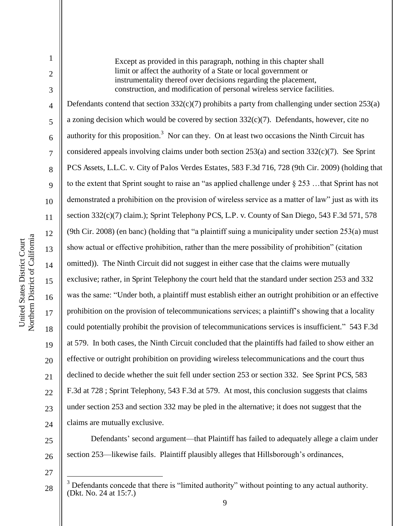Northern District of California Northern District of California United States District Court United States District Court

1

2

3

4

5

6

7

8

9

10

11

12

13

14

15

16

17

18

19

20

21

22

23

 $24$ 

27

 $\overline{a}$ 

Except as provided in this paragraph, nothing in this chapter shall limit or affect the authority of a State or local government or instrumentality thereof over decisions regarding the placement, construction, and modification of personal wireless service facilities. Defendants contend that section 332(c)(7) prohibits a party from challenging under section 253(a) a zoning decision which would be covered by section  $332(c)(7)$ . Defendants, however, cite no authority for this proposition.<sup>3</sup> Nor can they. On at least two occasions the Ninth Circuit has considered appeals involving claims under both section 253(a) and section 332(c)(7). See Sprint PCS Assets, L.L.C. v. City of Palos Verdes Estates, 583 F.3d 716, 728 (9th Cir. 2009) (holding that to the extent that Sprint sought to raise an "as applied challenge under § 253 …that Sprint has not demonstrated a prohibition on the provision of wireless service as a matter of law" just as with its section 332(c)(7) claim.); Sprint Telephony PCS, L.P. v. County of San Diego, 543 F.3d 571, 578 (9th Cir. 2008) (en banc) (holding that "a plaintiff suing a municipality under section 253(a) must show actual or effective prohibition, rather than the mere possibility of prohibition" (citation omitted)). The Ninth Circuit did not suggest in either case that the claims were mutually exclusive; rather, in Sprint Telephony the court held that the standard under section 253 and 332 was the same: "Under both, a plaintiff must establish either an outright prohibition or an effective prohibition on the provision of telecommunications services; a plaintiff's showing that a locality could potentially prohibit the provision of telecommunications services is insufficient." 543 F.3d at 579. In both cases, the Ninth Circuit concluded that the plaintiffs had failed to show either an effective or outright prohibition on providing wireless telecommunications and the court thus declined to decide whether the suit fell under section 253 or section 332. See Sprint PCS, 583 F.3d at 728 ; Sprint Telephony, 543 F.3d at 579. At most, this conclusion suggests that claims under section 253 and section 332 may be pled in the alternative; it does not suggest that the claims are mutually exclusive.

25 26 Defendants' second argument—that Plaintiff has failed to adequately allege a claim under section 253—likewise fails. Plaintiff plausibly alleges that Hillsborough's ordinances,

28  $3$  Defendants concede that there is "limited authority" without pointing to any actual authority. (Dkt. No. 24 at 15:7.)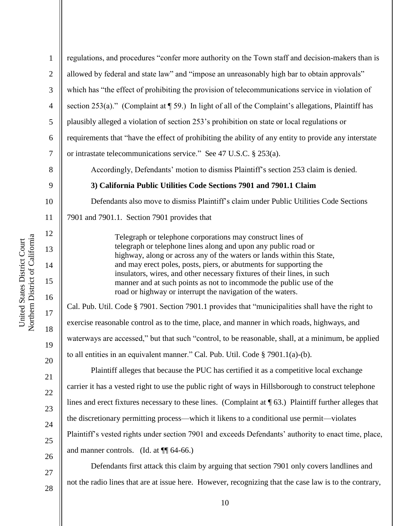1 2 3 4 5 6 7 8 9 10 11 12 13 14 15 16 17 regulations, and procedures "confer more authority on the Town staff and decision-makers than is allowed by federal and state law" and "impose an unreasonably high bar to obtain approvals" which has "the effect of prohibiting the provision of telecommunications service in violation of section 253(a)." (Complaint at ¶ 59.) In light of all of the Complaint's allegations, Plaintiff has plausibly alleged a violation of section 253's prohibition on state or local regulations or requirements that "have the effect of prohibiting the ability of any entity to provide any interstate or intrastate telecommunications service." See 47 U.S.C. § 253(a). Accordingly, Defendants' motion to dismiss Plaintiff's section 253 claim is denied. **3) California Public Utilities Code Sections 7901 and 7901.1 Claim**  Defendants also move to dismiss Plaintiff's claim under Public Utilities Code Sections 7901 and 7901.1. Section 7901 provides that Telegraph or telephone corporations may construct lines of telegraph or telephone lines along and upon any public road or highway, along or across any of the waters or lands within this State, and may erect poles, posts, piers, or abutments for supporting the insulators, wires, and other necessary fixtures of their lines, in such manner and at such points as not to incommode the public use of the road or highway or interrupt the navigation of the waters. Cal. Pub. Util. Code § 7901. Section 7901.1 provides that "municipalities shall have the right to

exercise reasonable control as to the time, place, and manner in which roads, highways, and waterways are accessed," but that such "control, to be reasonable, shall, at a minimum, be applied to all entities in an equivalent manner." Cal. Pub. Util. Code § 7901.1(a)-(b).

 Plaintiff alleges that because the PUC has certified it as a competitive local exchange carrier it has a vested right to use the public right of ways in Hillsborough to construct telephone lines and erect fixtures necessary to these lines. (Complaint at ¶ 63.) Plaintiff further alleges that the discretionary permitting process—which it likens to a conditional use permit—violates Plaintiff's vested rights under section 7901 and exceeds Defendants' authority to enact time, place, and manner controls. (Id. at ¶¶ 64-66.)

Defendants first attack this claim by arguing that section 7901 only covers landlines and not the radio lines that are at issue here. However, recognizing that the case law is to the contrary,

28

18

19

20

21

22

23

24

25

26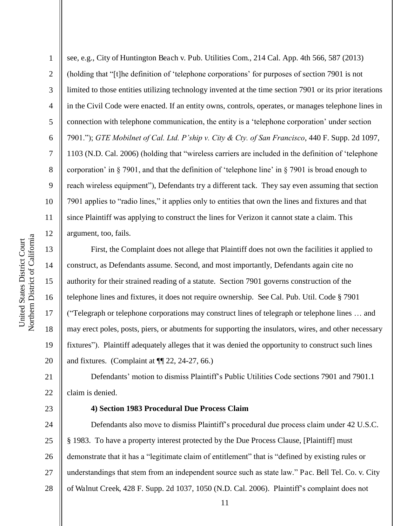14

15

16

17

18

19

20

23

1

2 3 4 5 6 7 8 9 10 11 12 see, e.g., City of Huntington Beach v. Pub. Utilities Com., 214 Cal. App. 4th 566, 587 (2013) (holding that "[t]he definition of 'telephone corporations' for purposes of section 7901 is not limited to those entities utilizing technology invented at the time section 7901 or its prior iterations in the Civil Code were enacted. If an entity owns, controls, operates, or manages telephone lines in connection with telephone communication, the entity is a 'telephone corporation' under section 7901."); *GTE Mobilnet of Cal. Ltd. P'ship v. City & Cty. of San Francisco*, 440 F. Supp. 2d 1097, 1103 (N.D. Cal. 2006) (holding that "wireless carriers are included in the definition of 'telephone corporation' in § 7901, and that the definition of 'telephone line' in § 7901 is broad enough to reach wireless equipment"), Defendants try a different tack. They say even assuming that section 7901 applies to "radio lines," it applies only to entities that own the lines and fixtures and that since Plaintiff was applying to construct the lines for Verizon it cannot state a claim. This argument, too, fails.

First, the Complaint does not allege that Plaintiff does not own the facilities it applied to construct, as Defendants assume. Second, and most importantly, Defendants again cite no authority for their strained reading of a statute. Section 7901 governs construction of the telephone lines and fixtures, it does not require ownership. See Cal. Pub. Util. Code § 7901 ("Telegraph or telephone corporations may construct lines of telegraph or telephone lines … and may erect poles, posts, piers, or abutments for supporting the insulators, wires, and other necessary fixtures"). Plaintiff adequately alleges that it was denied the opportunity to construct such lines and fixtures. (Complaint at  $\P$ [22, 24-27, 66.)

21 22 Defendants' motion to dismiss Plaintiff's Public Utilities Code sections 7901 and 7901.1 claim is denied.

#### **4) Section 1983 Procedural Due Process Claim**

24 25 26 27 28 Defendants also move to dismiss Plaintiff's procedural due process claim under 42 U.S.C. § 1983. To have a property interest protected by the Due Process Clause, [Plaintiff] must demonstrate that it has a "legitimate claim of entitlement" that is "defined by existing rules or understandings that stem from an independent source such as state law." Pac. Bell Tel. Co. v. City of Walnut Creek, 428 F. Supp. 2d 1037, 1050 (N.D. Cal. 2006). Plaintiff's complaint does not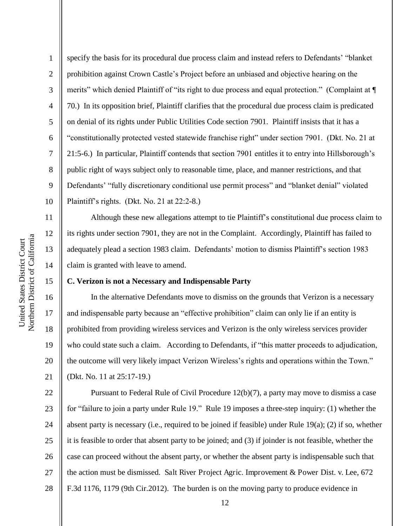12

13

14

15

16

17

18

19

20

21

1

2 3 4 5 6 7 8 9 10 specify the basis for its procedural due process claim and instead refers to Defendants' "blanket prohibition against Crown Castle's Project before an unbiased and objective hearing on the merits" which denied Plaintiff of "its right to due process and equal protection." (Complaint at  $\P$ 70.) In its opposition brief, Plaintiff clarifies that the procedural due process claim is predicated on denial of its rights under Public Utilities Code section 7901. Plaintiff insists that it has a "constitutionally protected vested statewide franchise right" under section 7901. (Dkt. No. 21 at 21:5-6.) In particular, Plaintiff contends that section 7901 entitles it to entry into Hillsborough's public right of ways subject only to reasonable time, place, and manner restrictions, and that Defendants' "fully discretionary conditional use permit process" and "blanket denial" violated Plaintiff's rights. (Dkt. No. 21 at 22:2-8.)

Although these new allegations attempt to tie Plaintiff's constitutional due process claim to its rights under section 7901, they are not in the Complaint. Accordingly, Plaintiff has failed to adequately plead a section 1983 claim. Defendants' motion to dismiss Plaintiff's section 1983 claim is granted with leave to amend.

### **C. Verizon is not a Necessary and Indispensable Party**

In the alternative Defendants move to dismiss on the grounds that Verizon is a necessary and indispensable party because an "effective prohibition" claim can only lie if an entity is prohibited from providing wireless services and Verizon is the only wireless services provider who could state such a claim. According to Defendants, if "this matter proceeds to adjudication, the outcome will very likely impact Verizon Wireless's rights and operations within the Town." (Dkt. No. 11 at 25:17-19.)

22 23 24 25 26 27 28 Pursuant to Federal Rule of Civil Procedure 12(b)(7), a party may move to dismiss a case for "failure to join a party under Rule 19." Rule 19 imposes a three-step inquiry: (1) whether the absent party is necessary (i.e., required to be joined if feasible) under Rule 19(a); (2) if so, whether it is feasible to order that absent party to be joined; and (3) if joinder is not feasible, whether the case can proceed without the absent party, or whether the absent party is indispensable such that the action must be dismissed. Salt River Project Agric. Improvement & Power Dist. v. Lee, 672 F.3d 1176, 1179 (9th Cir.2012). The burden is on the moving party to produce evidence in